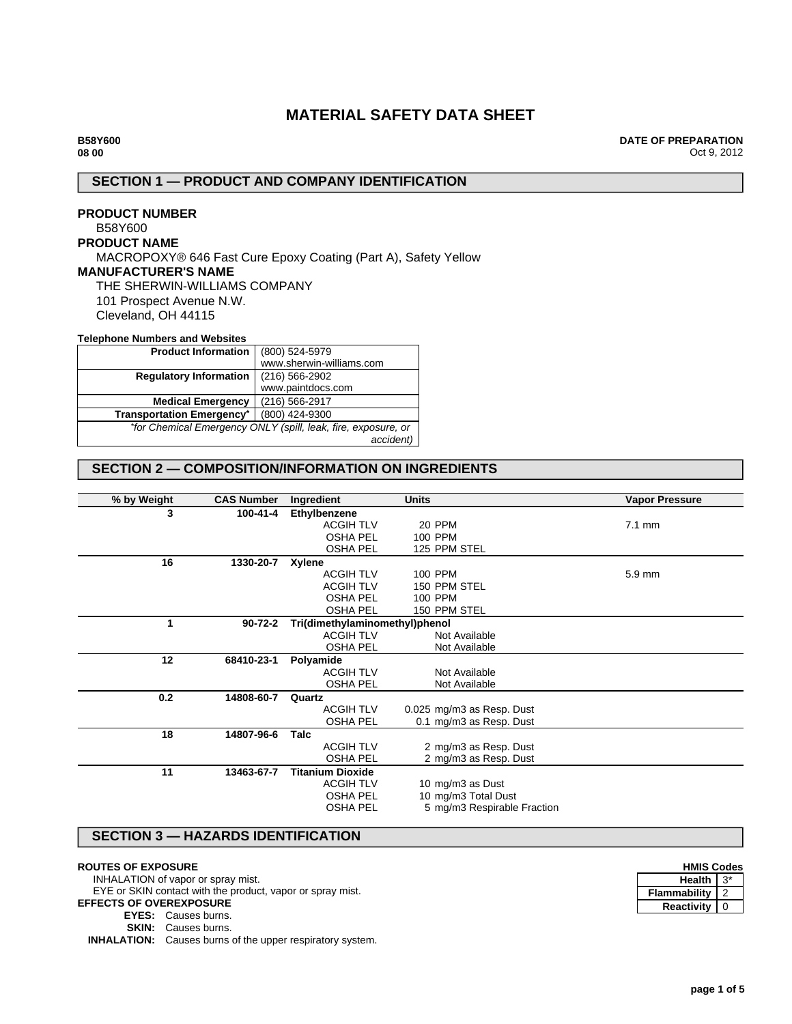# **MATERIAL SAFETY DATA SHEET**

**DATE OF PREPARATION** Oct 9, 2012

# **SECTION 1 — PRODUCT AND COMPANY IDENTIFICATION**

# **PRODUCT NUMBER** B58Y600 **PRODUCT NAME** MACROPOXY® 646 Fast Cure Epoxy Coating (Part A), Safety Yellow **MANUFACTURER'S NAME** THE SHERWIN-WILLIAMS COMPANY 101 Prospect Avenue N.W. Cleveland, OH 44115

### **Telephone Numbers and Websites**

| <b>Product Information</b>                                    | (800) 524-5979           |  |
|---------------------------------------------------------------|--------------------------|--|
|                                                               | www.sherwin-williams.com |  |
| <b>Regulatory Information</b>                                 | $(216)$ 566-2902         |  |
|                                                               | www.paintdocs.com        |  |
| <b>Medical Emergency</b>                                      | (216) 566-2917           |  |
| <b>Transportation Emergency*</b>                              | (800) 424-9300           |  |
| *for Chemical Emergency ONLY (spill, leak, fire, exposure, or |                          |  |
|                                                               | accident)                |  |

# **SECTION 2 — COMPOSITION/INFORMATION ON INGREDIENTS**

| % by Weight | <b>CAS Number</b> | Ingredient                     | <b>Units</b>                | <b>Vapor Pressure</b> |
|-------------|-------------------|--------------------------------|-----------------------------|-----------------------|
| 3           | 100-41-4          | Ethylbenzene                   |                             |                       |
|             |                   | <b>ACGIH TLV</b>               | 20 PPM                      | $7.1 \text{ mm}$      |
|             |                   | <b>OSHA PEL</b>                | 100 PPM                     |                       |
|             |                   | <b>OSHA PEL</b>                | 125 PPM STEL                |                       |
| 16          | 1330-20-7         | Xylene                         |                             |                       |
|             |                   | <b>ACGIH TLV</b>               | 100 PPM                     | 5.9 mm                |
|             |                   | <b>ACGIH TLV</b>               | 150 PPM STEL                |                       |
|             |                   | <b>OSHA PEL</b>                | 100 PPM                     |                       |
|             |                   | <b>OSHA PEL</b>                | 150 PPM STEL                |                       |
| 1           | $90 - 72 - 2$     | Tri(dimethylaminomethyl)phenol |                             |                       |
|             |                   | <b>ACGIH TLV</b>               | Not Available               |                       |
|             |                   | <b>OSHA PEL</b>                | Not Available               |                       |
| 12          | 68410-23-1        | Polyamide                      |                             |                       |
|             |                   | <b>ACGIH TLV</b>               | Not Available               |                       |
|             |                   | <b>OSHA PEL</b>                | Not Available               |                       |
| 0.2         | 14808-60-7        | Quartz                         |                             |                       |
|             |                   | <b>ACGIH TLV</b>               | 0.025 mg/m3 as Resp. Dust   |                       |
|             |                   | <b>OSHA PEL</b>                | 0.1 mg/m3 as Resp. Dust     |                       |
| 18          | 14807-96-6        | Talc                           |                             |                       |
|             |                   | <b>ACGIH TLV</b>               | 2 mg/m3 as Resp. Dust       |                       |
|             |                   | <b>OSHA PEL</b>                | 2 mg/m3 as Resp. Dust       |                       |
| 11          | 13463-67-7        | <b>Titanium Dioxide</b>        |                             |                       |
|             |                   | <b>ACGIH TLV</b>               | 10 mg/m3 as Dust            |                       |
|             |                   | <b>OSHA PEL</b>                | 10 mg/m3 Total Dust         |                       |
|             |                   | <b>OSHA PEL</b>                | 5 mg/m3 Respirable Fraction |                       |
|             |                   |                                |                             |                       |

# **SECTION 3 — HAZARDS IDENTIFICATION**

### **ROUTES OF EXPOSURE**

INHALATION of vapor or spray mist.

EYE or SKIN contact with the product, vapor or spray mist. **EFFECTS OF OVEREXPOSURE**

**EYES:** Causes burns. **SKIN:** Causes burns.

**INHALATION:** Causes burns of the upper respiratory system.

| <b>HMIS Codes</b> |  |  |
|-------------------|--|--|
| Health            |  |  |
| Flammability      |  |  |
| Reactivity        |  |  |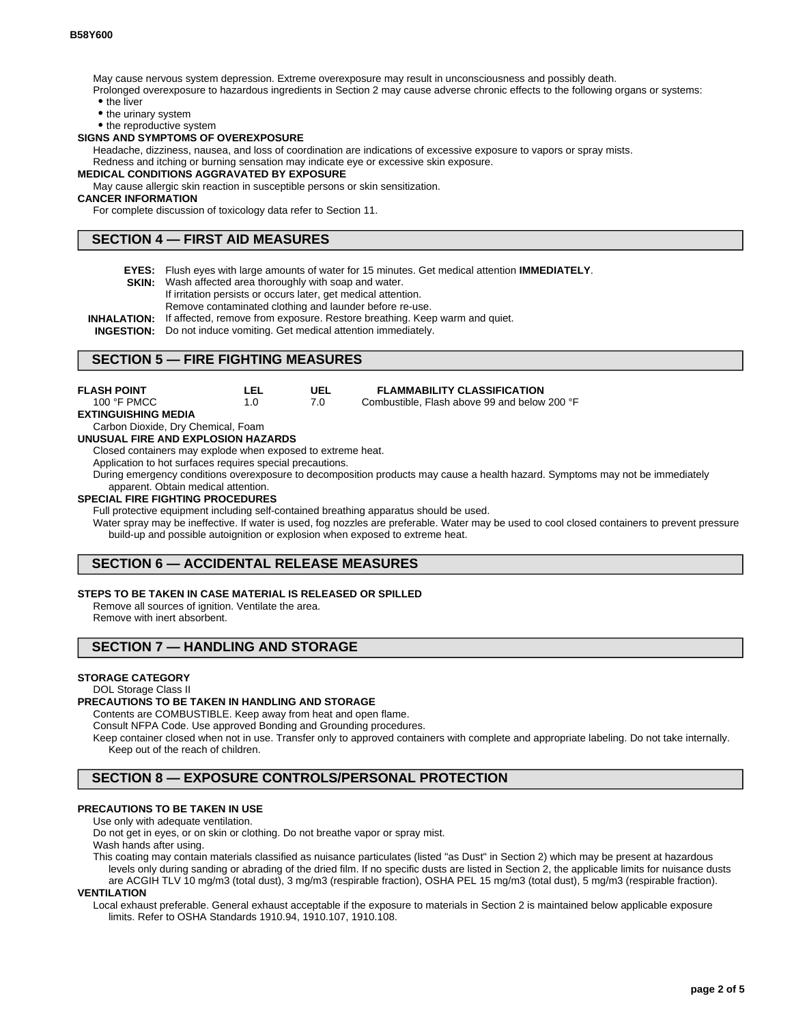May cause nervous system depression. Extreme overexposure may result in unconsciousness and possibly death.

Prolonged overexposure to hazardous ingredients in Section 2 may cause adverse chronic effects to the following organs or systems:

- the liver
- the urinary system

• the reproductive system

#### **SIGNS AND SYMPTOMS OF OVEREXPOSURE**

Headache, dizziness, nausea, and loss of coordination are indications of excessive exposure to vapors or spray mists. Redness and itching or burning sensation may indicate eye or excessive skin exposure.

# **MEDICAL CONDITIONS AGGRAVATED BY EXPOSURE**

May cause allergic skin reaction in susceptible persons or skin sensitization.

#### **CANCER INFORMATION**

For complete discussion of toxicology data refer to Section 11.

## **SECTION 4 — FIRST AID MEASURES**

- **EYES:** Flush eyes with large amounts of water for 15 minutes. Get medical attention **IMMEDIATELY**.
- **SKIN:** Wash affected area thoroughly with soap and water.
	- If irritation persists or occurs later, get medical attention.
- Remove contaminated clothing and launder before re-use.
- **INHALATION:** If affected, remove from exposure. Restore breathing. Keep warm and quiet.

**INGESTION:** Do not induce vomiting. Get medical attention immediately.

# **SECTION 5 — FIRE FIGHTING MEASURES**

| <b>FLASH POINT</b>                 | LEL | UEL | <b>FLAMMABILITY CLASSIFICATION</b>           |
|------------------------------------|-----|-----|----------------------------------------------|
| 100 °F PMCC                        | 1 O | 70. | Combustible. Flash above 99 and below 200 °F |
| EXTINGUISHING MEDIA                |     |     |                                              |
| Carbon Dioxide, Dry Chemical, Foam |     |     |                                              |

**UNUSUAL FIRE AND EXPLOSION HAZARDS**

Closed containers may explode when exposed to extreme heat.

Application to hot surfaces requires special precautions.

During emergency conditions overexposure to decomposition products may cause a health hazard. Symptoms may not be immediately apparent. Obtain medical attention.

### **SPECIAL FIRE FIGHTING PROCEDURES**

Full protective equipment including self-contained breathing apparatus should be used.

Water spray may be ineffective. If water is used, fog nozzles are preferable. Water may be used to cool closed containers to prevent pressure build-up and possible autoignition or explosion when exposed to extreme heat.

# **SECTION 6 — ACCIDENTAL RELEASE MEASURES**

### **STEPS TO BE TAKEN IN CASE MATERIAL IS RELEASED OR SPILLED**

Remove all sources of ignition. Ventilate the area.

Remove with inert absorbent.

# **SECTION 7 — HANDLING AND STORAGE**

### **STORAGE CATEGORY**

DOL Storage Class II

### **PRECAUTIONS TO BE TAKEN IN HANDLING AND STORAGE**

Contents are COMBUSTIBLE. Keep away from heat and open flame.

Consult NFPA Code. Use approved Bonding and Grounding procedures.

Keep container closed when not in use. Transfer only to approved containers with complete and appropriate labeling. Do not take internally. Keep out of the reach of children.

# **SECTION 8 — EXPOSURE CONTROLS/PERSONAL PROTECTION**

### **PRECAUTIONS TO BE TAKEN IN USE**

Use only with adequate ventilation.

Do not get in eyes, or on skin or clothing. Do not breathe vapor or spray mist. Wash hands after using.

This coating may contain materials classified as nuisance particulates (listed "as Dust" in Section 2) which may be present at hazardous levels only during sanding or abrading of the dried film. If no specific dusts are listed in Section 2, the applicable limits for nuisance dusts are ACGIH TLV 10 mg/m3 (total dust), 3 mg/m3 (respirable fraction), OSHA PEL 15 mg/m3 (total dust), 5 mg/m3 (respirable fraction).

**VENTILATION**

Local exhaust preferable. General exhaust acceptable if the exposure to materials in Section 2 is maintained below applicable exposure limits. Refer to OSHA Standards 1910.94, 1910.107, 1910.108.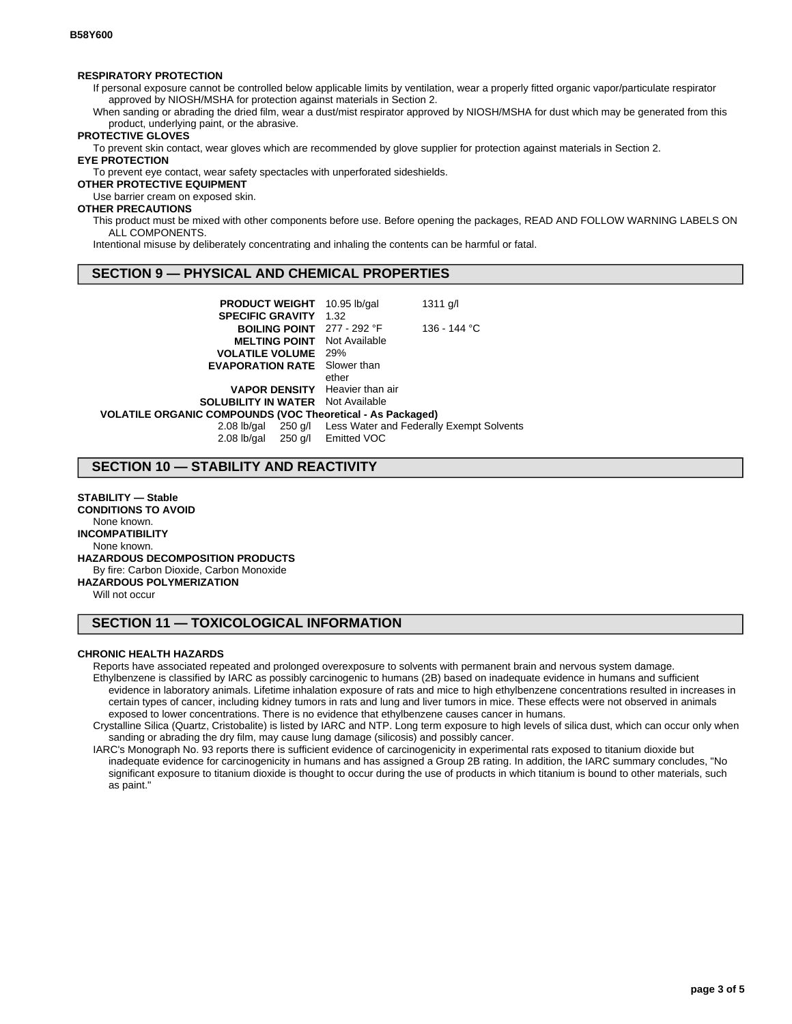### **RESPIRATORY PROTECTION**

If personal exposure cannot be controlled below applicable limits by ventilation, wear a properly fitted organic vapor/particulate respirator approved by NIOSH/MSHA for protection against materials in Section 2.

When sanding or abrading the dried film, wear a dust/mist respirator approved by NIOSH/MSHA for dust which may be generated from this product, underlying paint, or the abrasive.

### **PROTECTIVE GLOVES**

To prevent skin contact, wear gloves which are recommended by glove supplier for protection against materials in Section 2.

# **EYE PROTECTION**

To prevent eye contact, wear safety spectacles with unperforated sideshields.

### **OTHER PROTECTIVE EQUIPMENT**

Use barrier cream on exposed skin.

# **OTHER PRECAUTIONS**

This product must be mixed with other components before use. Before opening the packages, READ AND FOLLOW WARNING LABELS ON ALL COMPONENTS.

Intentional misuse by deliberately concentrating and inhaling the contents can be harmful or fatal.

# **SECTION 9 — PHYSICAL AND CHEMICAL PROPERTIES**

| <b>PRODUCT WEIGHT</b> 10.95 lb/gal                                | $1311$ g/l                                       |
|-------------------------------------------------------------------|--------------------------------------------------|
|                                                                   |                                                  |
| <b>BOILING POINT</b> 277 - 292 °F                                 | 136 - 144 °C                                     |
| <b>MELTING POINT</b><br>Not Available                             |                                                  |
| <b>VOLATILE VOLUME</b><br>29%                                     |                                                  |
| <b>EVAPORATION RATE</b> Slower than                               |                                                  |
| ether                                                             |                                                  |
| <b>VAPOR DENSITY</b> Heavier than air                             |                                                  |
| <b>SOLUBILITY IN WATER</b> Not Available                          |                                                  |
| <b>VOLATILE ORGANIC COMPOUNDS (VOC Theoretical - As Packaged)</b> |                                                  |
|                                                                   | 250 g/l Less Water and Federally Exempt Solvents |
| 2.08 lb/gal 250 g/l Emitted VOC                                   |                                                  |
|                                                                   | <b>SPECIFIC GRAVITY 1.32</b>                     |

# **SECTION 10 — STABILITY AND REACTIVITY**

**STABILITY — Stable CONDITIONS TO AVOID** None known. **INCOMPATIBILITY** None known. **HAZARDOUS DECOMPOSITION PRODUCTS** By fire: Carbon Dioxide, Carbon Monoxide **HAZARDOUS POLYMERIZATION** Will not occur

### **SECTION 11 — TOXICOLOGICAL INFORMATION**

#### **CHRONIC HEALTH HAZARDS**

Reports have associated repeated and prolonged overexposure to solvents with permanent brain and nervous system damage. Ethylbenzene is classified by IARC as possibly carcinogenic to humans (2B) based on inadequate evidence in humans and sufficient evidence in laboratory animals. Lifetime inhalation exposure of rats and mice to high ethylbenzene concentrations resulted in increases in certain types of cancer, including kidney tumors in rats and lung and liver tumors in mice. These effects were not observed in animals exposed to lower concentrations. There is no evidence that ethylbenzene causes cancer in humans.

Crystalline Silica (Quartz, Cristobalite) is listed by IARC and NTP. Long term exposure to high levels of silica dust, which can occur only when sanding or abrading the dry film, may cause lung damage (silicosis) and possibly cancer.

IARC's Monograph No. 93 reports there is sufficient evidence of carcinogenicity in experimental rats exposed to titanium dioxide but inadequate evidence for carcinogenicity in humans and has assigned a Group 2B rating. In addition, the IARC summary concludes, "No significant exposure to titanium dioxide is thought to occur during the use of products in which titanium is bound to other materials, such as paint."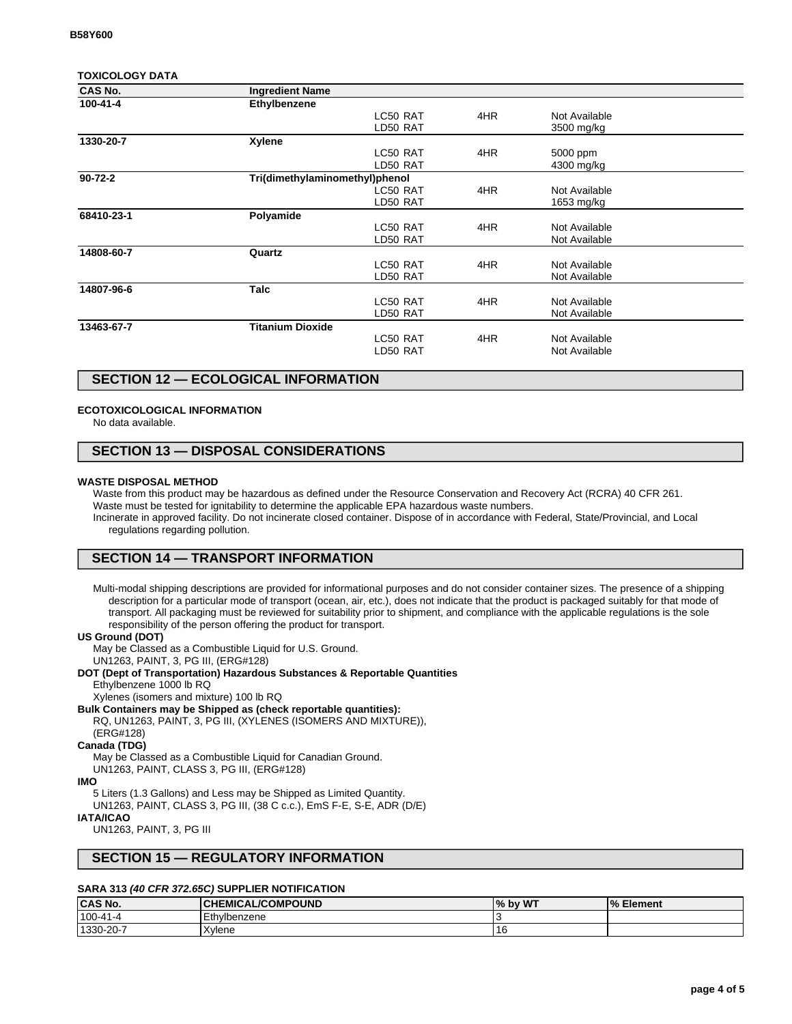### **TOXICOLOGY DATA**

| <b>CAS No.</b> | <b>Ingredient Name</b>         |          |     |               |  |
|----------------|--------------------------------|----------|-----|---------------|--|
| 100-41-4       | Ethylbenzene                   |          |     |               |  |
|                |                                | LC50 RAT | 4HR | Not Available |  |
|                |                                | LD50 RAT |     | 3500 mg/kg    |  |
| 1330-20-7      | <b>Xylene</b>                  |          |     |               |  |
|                |                                | LC50 RAT | 4HR | 5000 ppm      |  |
|                |                                | LD50 RAT |     | 4300 mg/kg    |  |
| $90 - 72 - 2$  | Tri(dimethylaminomethyl)phenol |          |     |               |  |
|                |                                | LC50 RAT | 4HR | Not Available |  |
|                |                                | LD50 RAT |     | 1653 mg/kg    |  |
| 68410-23-1     | Polyamide                      |          |     |               |  |
|                |                                | LC50 RAT | 4HR | Not Available |  |
|                |                                | LD50 RAT |     | Not Available |  |
| 14808-60-7     | Quartz                         |          |     |               |  |
|                |                                | LC50 RAT | 4HR | Not Available |  |
|                |                                | LD50 RAT |     | Not Available |  |
| 14807-96-6     | <b>Talc</b>                    |          |     |               |  |
|                |                                | LC50 RAT | 4HR | Not Available |  |
|                |                                | LD50 RAT |     | Not Available |  |
| 13463-67-7     | <b>Titanium Dioxide</b>        |          |     |               |  |
|                |                                | LC50 RAT | 4HR | Not Available |  |
|                |                                | LD50 RAT |     | Not Available |  |
|                |                                |          |     |               |  |

# **SECTION 12 — ECOLOGICAL INFORMATION**

### **ECOTOXICOLOGICAL INFORMATION**

No data available.

# **SECTION 13 — DISPOSAL CONSIDERATIONS**

### **WASTE DISPOSAL METHOD**

Waste from this product may be hazardous as defined under the Resource Conservation and Recovery Act (RCRA) 40 CFR 261.

Waste must be tested for ignitability to determine the applicable EPA hazardous waste numbers.

Incinerate in approved facility. Do not incinerate closed container. Dispose of in accordance with Federal, State/Provincial, and Local regulations regarding pollution.

# **SECTION 14 — TRANSPORT INFORMATION**

Multi-modal shipping descriptions are provided for informational purposes and do not consider container sizes. The presence of a shipping description for a particular mode of transport (ocean, air, etc.), does not indicate that the product is packaged suitably for that mode of transport. All packaging must be reviewed for suitability prior to shipment, and compliance with the applicable regulations is the sole responsibility of the person offering the product for transport.

#### **US Ground (DOT)**

May be Classed as a Combustible Liquid for U.S. Ground. UN1263, PAINT, 3, PG III, (ERG#128)

### **DOT (Dept of Transportation) Hazardous Substances & Reportable Quantities**

Ethylbenzene 1000 lb RQ

Xylenes (isomers and mixture) 100 lb RQ

# **Bulk Containers may be Shipped as (check reportable quantities):**

RQ, UN1263, PAINT, 3, PG III, (XYLENES (ISOMERS AND MIXTURE)),

#### (ERG#128) **Canada (TDG)**

May be Classed as a Combustible Liquid for Canadian Ground.

UN1263, PAINT, CLASS 3, PG III, (ERG#128)

### **IMO**

5 Liters (1.3 Gallons) and Less may be Shipped as Limited Quantity. UN1263, PAINT, CLASS 3, PG III, (38 C c.c.), EmS F-E, S-E, ADR (D/E) **IATA/ICAO**

#### UN1263, PAINT, 3, PG III

### **SECTION 15 — REGULATORY INFORMATION**

### **SARA 313 (40 CFR 372.65C) SUPPLIER NOTIFICATION**

| <b>CAS No.</b> | <b> CHEMICAL/COMPOUND</b> | % by WT | % Element |
|----------------|---------------------------|---------|-----------|
| $100-41-4$     | Ethylbenzene              |         |           |
| 1330-20-7      | Xvlene                    |         |           |